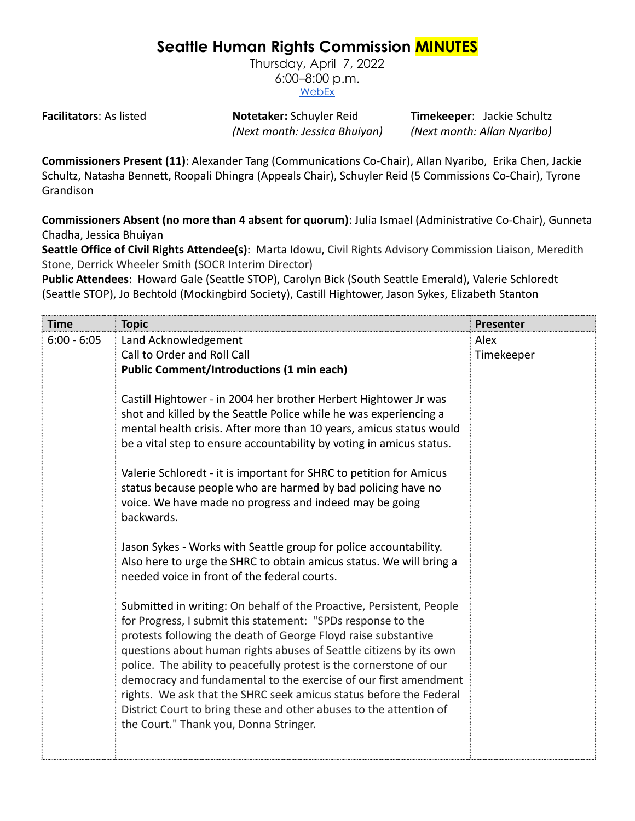# **Seattle Human Rights Commission MINUTES**

Thursday, April 7, 2022 6:00–8:00 p.m. [WebEx](https://www.seattle.gov/humanrights/calendar)

**Facilitators**: As listed **Notetaker:** Schuyler Reid **Timekeeper**: Jackie Schultz *(Next month: Jessica Bhuiyan) (Next month: Allan Nyaribo)*

**Commissioners Present (11)**: Alexander Tang (Communications Co-Chair), Allan Nyaribo, Erika Chen, Jackie Schultz, Natasha Bennett, Roopali Dhingra (Appeals Chair), Schuyler Reid (5 Commissions Co-Chair), Tyrone Grandison

**Commissioners Absent (no more than 4 absent for quorum)**: Julia Ismael (Administrative Co-Chair), Gunneta Chadha, Jessica Bhuiyan

**Seattle Office of Civil Rights Attendee(s)**: Marta Idowu, Civil Rights Advisory Commission Liaison, Meredith Stone, Derrick Wheeler Smith (SOCR Interim Director)

**Public Attendees**: Howard Gale (Seattle STOP), Carolyn Bick (South Seattle Emerald), Valerie Schloredt (Seattle STOP), Jo Bechtold (Mockingbird Society), Castill Hightower, Jason Sykes, Elizabeth Stanton

| Time          | <b>Topic</b>                                                                                                                                | Presenter  |
|---------------|---------------------------------------------------------------------------------------------------------------------------------------------|------------|
| $6:00 - 6:05$ | Land Acknowledgement                                                                                                                        | Alex       |
|               | Call to Order and Roll Call<br><b>Public Comment/Introductions (1 min each)</b>                                                             | Timekeeper |
|               |                                                                                                                                             |            |
|               | Castill Hightower - in 2004 her brother Herbert Hightower Jr was                                                                            |            |
|               | shot and killed by the Seattle Police while he was experiencing a                                                                           |            |
|               | mental health crisis. After more than 10 years, amicus status would<br>be a vital step to ensure accountability by voting in amicus status. |            |
|               |                                                                                                                                             |            |
|               | Valerie Schloredt - it is important for SHRC to petition for Amicus                                                                         |            |
|               | status because people who are harmed by bad policing have no                                                                                |            |
|               | voice. We have made no progress and indeed may be going<br>backwards.                                                                       |            |
|               |                                                                                                                                             |            |
|               | Jason Sykes - Works with Seattle group for police accountability.                                                                           |            |
|               | Also here to urge the SHRC to obtain amicus status. We will bring a                                                                         |            |
|               | needed voice in front of the federal courts.                                                                                                |            |
|               | Submitted in writing: On behalf of the Proactive, Persistent, People                                                                        |            |
|               | for Progress, I submit this statement: "SPDs response to the                                                                                |            |
|               | protests following the death of George Floyd raise substantive                                                                              |            |
|               | questions about human rights abuses of Seattle citizens by its own<br>police. The ability to peacefully protest is the cornerstone of our   |            |
|               | democracy and fundamental to the exercise of our first amendment                                                                            |            |
|               | rights. We ask that the SHRC seek amicus status before the Federal                                                                          |            |
|               | District Court to bring these and other abuses to the attention of                                                                          |            |
|               | the Court." Thank you, Donna Stringer.                                                                                                      |            |
|               |                                                                                                                                             |            |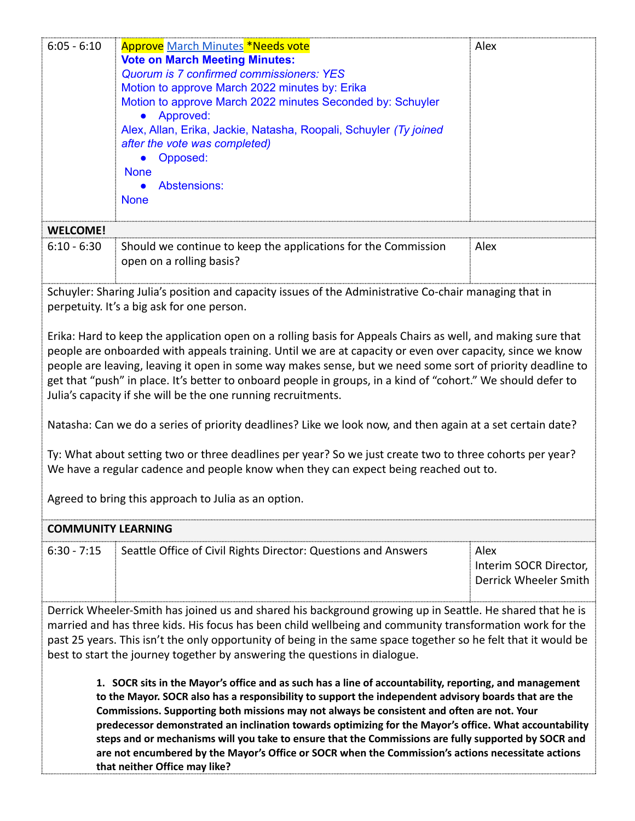| $6:05 - 6:10$                                                                                                                                                                                                                                                                                                                                                                                                                                                                                                                                                                                                                                                                                                                                                                                                                                                                                      | <b>Approve March Minutes *Needs vote</b><br><b>Vote on March Meeting Minutes:</b><br><b>Quorum is 7 confirmed commissioners: YES</b><br>Motion to approve March 2022 minutes by: Erika<br>Motion to approve March 2022 minutes Seconded by: Schuyler<br>Approved:<br>Alex, Allan, Erika, Jackie, Natasha, Roopali, Schuyler (Ty joined<br>after the vote was completed)<br>Opposed:<br><b>None</b><br>Abstensions:<br><b>None</b> | Alex                                                    |  |
|----------------------------------------------------------------------------------------------------------------------------------------------------------------------------------------------------------------------------------------------------------------------------------------------------------------------------------------------------------------------------------------------------------------------------------------------------------------------------------------------------------------------------------------------------------------------------------------------------------------------------------------------------------------------------------------------------------------------------------------------------------------------------------------------------------------------------------------------------------------------------------------------------|-----------------------------------------------------------------------------------------------------------------------------------------------------------------------------------------------------------------------------------------------------------------------------------------------------------------------------------------------------------------------------------------------------------------------------------|---------------------------------------------------------|--|
| <b>WELCOME!</b>                                                                                                                                                                                                                                                                                                                                                                                                                                                                                                                                                                                                                                                                                                                                                                                                                                                                                    |                                                                                                                                                                                                                                                                                                                                                                                                                                   |                                                         |  |
| $6:10 - 6:30$                                                                                                                                                                                                                                                                                                                                                                                                                                                                                                                                                                                                                                                                                                                                                                                                                                                                                      | Should we continue to keep the applications for the Commission<br>open on a rolling basis?                                                                                                                                                                                                                                                                                                                                        | Alex                                                    |  |
|                                                                                                                                                                                                                                                                                                                                                                                                                                                                                                                                                                                                                                                                                                                                                                                                                                                                                                    | Schuyler: Sharing Julia's position and capacity issues of the Administrative Co-chair managing that in<br>perpetuity. It's a big ask for one person.                                                                                                                                                                                                                                                                              |                                                         |  |
| Erika: Hard to keep the application open on a rolling basis for Appeals Chairs as well, and making sure that<br>people are onboarded with appeals training. Until we are at capacity or even over capacity, since we know<br>people are leaving, leaving it open in some way makes sense, but we need some sort of priority deadline to<br>get that "push" in place. It's better to onboard people in groups, in a kind of "cohort." We should defer to<br>Julia's capacity if she will be the one running recruitments.<br>Natasha: Can we do a series of priority deadlines? Like we look now, and then again at a set certain date?<br>Ty: What about setting two or three deadlines per year? So we just create two to three cohorts per year?<br>We have a regular cadence and people know when they can expect being reached out to.<br>Agreed to bring this approach to Julia as an option. |                                                                                                                                                                                                                                                                                                                                                                                                                                   |                                                         |  |
| <b>COMMUNITY LEARNING</b>                                                                                                                                                                                                                                                                                                                                                                                                                                                                                                                                                                                                                                                                                                                                                                                                                                                                          |                                                                                                                                                                                                                                                                                                                                                                                                                                   |                                                         |  |
| $6:30 - 7:15$                                                                                                                                                                                                                                                                                                                                                                                                                                                                                                                                                                                                                                                                                                                                                                                                                                                                                      | Seattle Office of Civil Rights Director: Questions and Answers                                                                                                                                                                                                                                                                                                                                                                    | Alex<br>Interim SOCR Director,<br>Derrick Wheeler Smith |  |
| Derrick Wheeler-Smith has joined us and shared his background growing up in Seattle. He shared that he is<br>married and has three kids. His focus has been child wellbeing and community transformation work for the<br>past 25 years. This isn't the only opportunity of being in the same space together so he felt that it would be<br>best to start the journey together by answering the questions in dialogue.                                                                                                                                                                                                                                                                                                                                                                                                                                                                              |                                                                                                                                                                                                                                                                                                                                                                                                                                   |                                                         |  |
| 1. SOCR sits in the Mayor's office and as such has a line of accountability, reporting, and management<br>to the Mayor. SOCR also has a responsibility to support the independent advisory boards that are the<br>Commissions. Supporting both missions may not always be consistent and often are not. Your<br>predecessor demonstrated an inclination towards optimizing for the Mayor's office. What accountability<br>steps and or mechanisms will you take to ensure that the Commissions are fully supported by SOCR and<br>are not encumbered by the Mayor's Office or SOCR when the Commission's actions necessitate actions<br>that neither Office may like?                                                                                                                                                                                                                              |                                                                                                                                                                                                                                                                                                                                                                                                                                   |                                                         |  |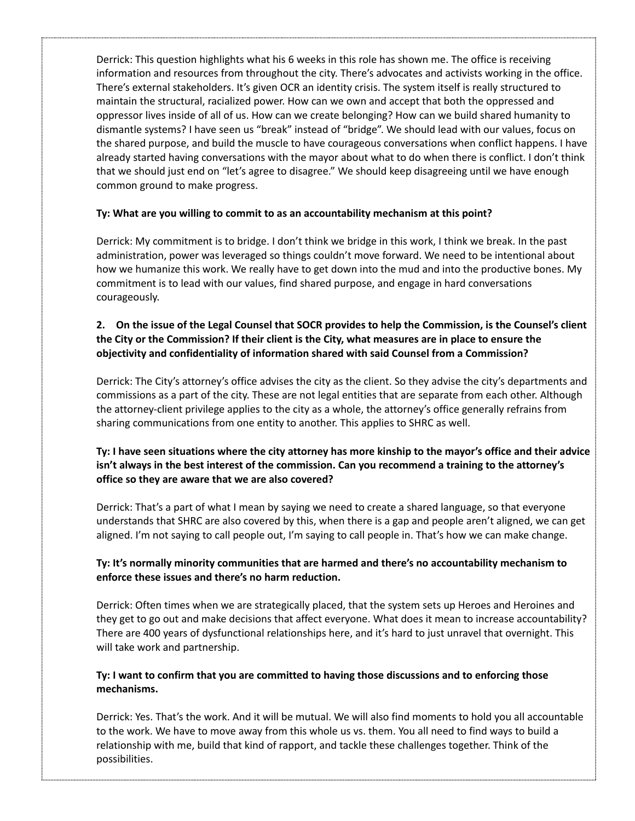Derrick: This question highlights what his 6 weeks in this role has shown me. The office is receiving information and resources from throughout the city. There's advocates and activists working in the office. There's external stakeholders. It's given OCR an identity crisis. The system itself is really structured to maintain the structural, racialized power. How can we own and accept that both the oppressed and oppressor lives inside of all of us. How can we create belonging? How can we build shared humanity to dismantle systems? I have seen us "break" instead of "bridge". We should lead with our values, focus on the shared purpose, and build the muscle to have courageous conversations when conflict happens. I have already started having conversations with the mayor about what to do when there is conflict. I don't think that we should just end on "let's agree to disagree." We should keep disagreeing until we have enough common ground to make progress.

## **Ty: What are you willing to commit to as an accountability mechanism at this point?**

Derrick: My commitment is to bridge. I don't think we bridge in this work, I think we break. In the past administration, power was leveraged so things couldn't move forward. We need to be intentional about how we humanize this work. We really have to get down into the mud and into the productive bones. My commitment is to lead with our values, find shared purpose, and engage in hard conversations courageously.

## 2. On the issue of the Legal Counsel that SOCR provides to help the Commission, is the Counsel's client the City or the Commission? If their client is the City, what measures are in place to ensure the **objectivity and confidentiality of information shared with said Counsel from a Commission?**

Derrick: The City's attorney's office advises the city as the client. So they advise the city's departments and commissions as a part of the city. These are not legal entities that are separate from each other. Although the attorney-client privilege applies to the city as a whole, the attorney's office generally refrains from sharing communications from one entity to another. This applies to SHRC as well.

## Ty: I have seen situations where the city attorney has more kinship to the mayor's office and their advice **isn't always in the best interest of the commission. Can you recommend a training to the attorney's office so they are aware that we are also covered?**

Derrick: That's a part of what I mean by saying we need to create a shared language, so that everyone understands that SHRC are also covered by this, when there is a gap and people aren't aligned, we can get aligned. I'm not saying to call people out, I'm saying to call people in. That's how we can make change.

## **Ty: It's normally minority communities that are harmed and there's no accountability mechanism to enforce these issues and there's no harm reduction.**

Derrick: Often times when we are strategically placed, that the system sets up Heroes and Heroines and they get to go out and make decisions that affect everyone. What does it mean to increase accountability? There are 400 years of dysfunctional relationships here, and it's hard to just unravel that overnight. This will take work and partnership.

#### **Ty: I want to confirm that you are committed to having those discussions and to enforcing those mechanisms.**

Derrick: Yes. That's the work. And it will be mutual. We will also find moments to hold you all accountable to the work. We have to move away from this whole us vs. them. You all need to find ways to build a relationship with me, build that kind of rapport, and tackle these challenges together. Think of the possibilities.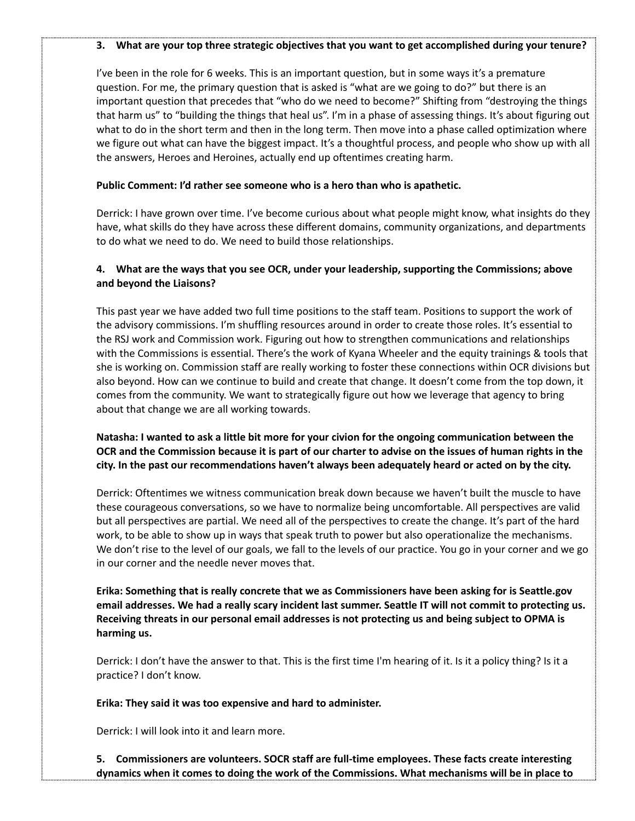#### **3. What are your top three strategic objectives that you want to get accomplished during your tenure?**

I've been in the role for 6 weeks. This is an important question, but in some ways it's a premature question. For me, the primary question that is asked is "what are we going to do?" but there is an important question that precedes that "who do we need to become?" Shifting from "destroying the things that harm us" to "building the things that heal us". I'm in a phase of assessing things. It's about figuring out what to do in the short term and then in the long term. Then move into a phase called optimization where we figure out what can have the biggest impact. It's a thoughtful process, and people who show up with all the answers, Heroes and Heroines, actually end up oftentimes creating harm.

#### **Public Comment: I'd rather see someone who is a hero than who is apathetic.**

Derrick: I have grown over time. I've become curious about what people might know, what insights do they have, what skills do they have across these different domains, community organizations, and departments to do what we need to do. We need to build those relationships.

#### **4. What are the ways that you see OCR, under your leadership, supporting the Commissions; above and beyond the Liaisons?**

This past year we have added two full time positions to the staff team. Positions to support the work of the advisory commissions. I'm shuffling resources around in order to create those roles. It's essential to the RSJ work and Commission work. Figuring out how to strengthen communications and relationships with the Commissions is essential. There's the work of Kyana Wheeler and the equity trainings & tools that she is working on. Commission staff are really working to foster these connections within OCR divisions but also beyond. How can we continue to build and create that change. It doesn't come from the top down, it comes from the community. We want to strategically figure out how we leverage that agency to bring about that change we are all working towards.

## Natasha: I wanted to ask a little bit more for your civion for the ongoing communication between the OCR and the Commission because it is part of our charter to advise on the issues of human rights in the **city. In the past our recommendations haven't always been adequately heard or acted on by the city.**

Derrick: Oftentimes we witness communication break down because we haven't built the muscle to have these courageous conversations, so we have to normalize being uncomfortable. All perspectives are valid but all perspectives are partial. We need all of the perspectives to create the change. It's part of the hard work, to be able to show up in ways that speak truth to power but also operationalize the mechanisms. We don't rise to the level of our goals, we fall to the levels of our practice. You go in your corner and we go in our corner and the needle never moves that.

**Erika: Something that is really concrete that we as Commissioners have been asking for is Seattle.gov** email addresses. We had a really scary incident last summer. Seattle IT will not commit to protecting us. **Receiving threats in our personal email addresses is not protecting us and being subject to OPMA is harming us.**

Derrick: I don't have the answer to that. This is the first time I'm hearing of it. Is it a policy thing? Is it a practice? I don't know.

**Erika: They said it was too expensive and hard to administer.**

Derrick: I will look into it and learn more.

**5. Commissioners are volunteers. SOCR staff are full-time employees. These facts create interesting dynamics when it comes to doing the work of the Commissions. What mechanisms will be in place to**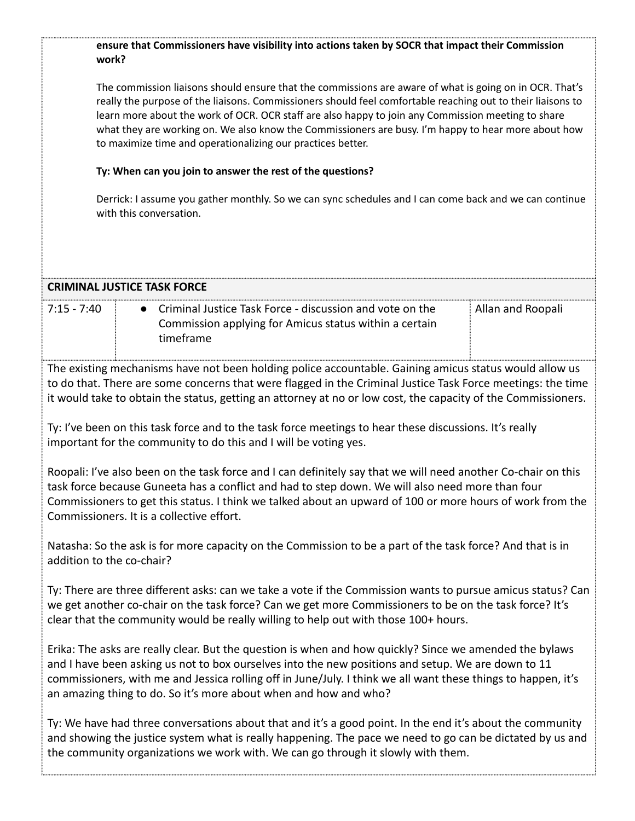#### **ensure that Commissioners have visibility into actions taken by SOCR that impact their Commission work?**

The commission liaisons should ensure that the commissions are aware of what is going on in OCR. That's really the purpose of the liaisons. Commissioners should feel comfortable reaching out to their liaisons to learn more about the work of OCR. OCR staff are also happy to join any Commission meeting to share what they are working on. We also know the Commissioners are busy. I'm happy to hear more about how to maximize time and operationalizing our practices better.

#### **Ty: When can you join to answer the rest of the questions?**

Derrick: I assume you gather monthly. So we can sync schedules and I can come back and we can continue with this conversation.

|                                                                                                                                                                                                                                                                                                                                                                                                    | <b>CRIMINAL JUSTICE TASK FORCE</b>                                                                                              |                   |
|----------------------------------------------------------------------------------------------------------------------------------------------------------------------------------------------------------------------------------------------------------------------------------------------------------------------------------------------------------------------------------------------------|---------------------------------------------------------------------------------------------------------------------------------|-------------------|
| $7:15 - 7:40$                                                                                                                                                                                                                                                                                                                                                                                      | Criminal Justice Task Force - discussion and vote on the<br>Commission applying for Amicus status within a certain<br>timeframe | Allan and Roopali |
| The existing mechanisms have not been holding police accountable. Gaining amicus status would allow us<br>to do that. There are some concerns that were flagged in the Criminal Justice Task Force meetings: the time<br>it would take to obtain the status, getting an attorney at no or low cost, the capacity of the Commissioners.                                                             |                                                                                                                                 |                   |
| Ty: I've been on this task force and to the task force meetings to hear these discussions. It's really<br>important for the community to do this and I will be voting yes.                                                                                                                                                                                                                         |                                                                                                                                 |                   |
| Roopali: I've also been on the task force and I can definitely say that we will need another Co-chair on this<br>task force because Guneeta has a conflict and had to step down. We will also need more than four<br>Commissioners to get this status. I think we talked about an upward of 100 or more hours of work from the<br>Commissioners. It is a collective effort.                        |                                                                                                                                 |                   |
| Natasha: So the ask is for more capacity on the Commission to be a part of the task force? And that is in<br>addition to the co-chair?                                                                                                                                                                                                                                                             |                                                                                                                                 |                   |
| Ty: There are three different asks: can we take a vote if the Commission wants to pursue amicus status? Can<br>we get another co-chair on the task force? Can we get more Commissioners to be on the task force? It's<br>clear that the community would be really willing to help out with those 100+ hours.                                                                                       |                                                                                                                                 |                   |
| Erika: The asks are really clear. But the question is when and how quickly? Since we amended the bylaws<br>and I have been asking us not to box ourselves into the new positions and setup. We are down to 11<br>commissioners, with me and Jessica rolling off in June/July. I think we all want these things to happen, it's<br>an amazing thing to do. So it's more about when and how and who? |                                                                                                                                 |                   |
| Ty: We have had three conversations about that and it's a good point. In the end it's about the community<br>and showing the justice system what is really happening. The pace we need to go can be dictated by us and<br>the community organizations we work with. We can go through it slowly with them.                                                                                         |                                                                                                                                 |                   |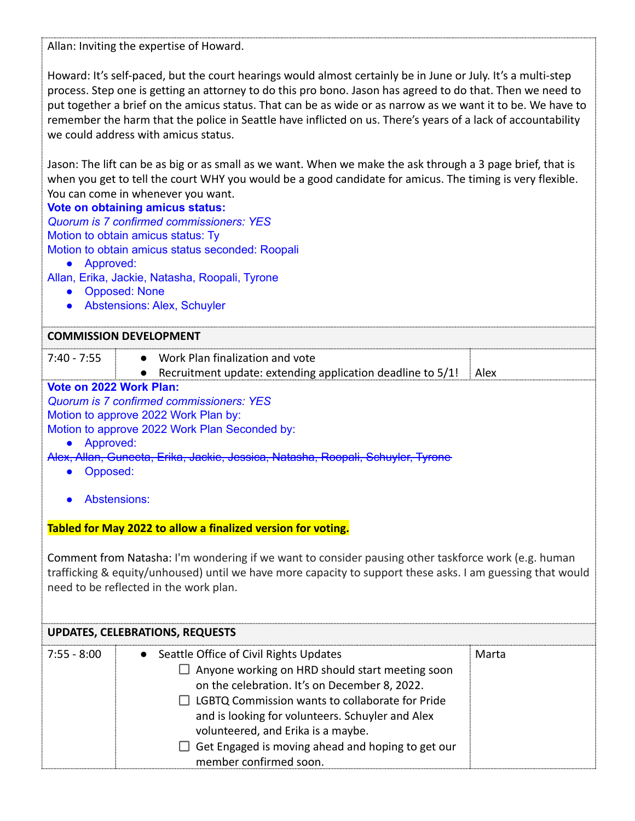Allan: Inviting the expertise of Howard.

Howard: It's self-paced, but the court hearings would almost certainly be in June or July. It's a multi-step process. Step one is getting an attorney to do this pro bono. Jason has agreed to do that. Then we need to put together a brief on the amicus status. That can be as wide or as narrow as we want it to be. We have to remember the harm that the police in Seattle have inflicted on us. There's years of a lack of accountability we could address with amicus status.

Jason: The lift can be as big or as small as we want. When we make the ask through a 3 page brief, that is when you get to tell the court WHY you would be a good candidate for amicus. The timing is very flexible. You can come in whenever you want.

## **Vote on obtaining amicus status:**

*Quorum is 7 confirmed commissioners: YES* Motion to obtain amicus status: Ty Motion to obtain amicus status seconded: Roopali

- Approved:
- Allan, Erika, Jackie, Natasha, Roopali, Tyrone
	- Opposed: None
	- Abstensions: Alex, Schuyler

## **COMMISSION DEVELOPMENT**

| $7:40 - 7:55$ | Work Plan finalization and vote                                     |  |
|---------------|---------------------------------------------------------------------|--|
|               | Recruitment update: extending application deadline to $5/1!$   Alex |  |

## **Vote on 2022 Work Plan:**

*Quorum is 7 confirmed commissioners: YES*

Motion to approve 2022 Work Plan by:

- Motion to approve 2022 Work Plan Seconded by:
	- Approved:
- Alex, Allan, Guneeta, Erika, Jackie, Jessica, Natasha, Roopali, Schuyler, Tyrone
	- Opposed:
	- Abstensions:

# **Tabled for May 2022 to allow a finalized version for voting.**

Comment from Natasha: I'm wondering if we want to consider pausing other taskforce work (e.g. human trafficking & equity/unhoused) until we have more capacity to support these asks. I am guessing that would need to be reflected in the work plan.

| <b>UPDATES, CELEBRATIONS, REQUESTS</b> |                                                                                                                                                                                                                                                                                                                                                                                        |       |
|----------------------------------------|----------------------------------------------------------------------------------------------------------------------------------------------------------------------------------------------------------------------------------------------------------------------------------------------------------------------------------------------------------------------------------------|-------|
| $7:55 - 8:00$                          | • Seattle Office of Civil Rights Updates<br>$\Box$ Anyone working on HRD should start meeting soon<br>on the celebration. It's on December 8, 2022.<br>$\Box$ LGBTQ Commission wants to collaborate for Pride<br>and is looking for volunteers. Schuyler and Alex<br>volunteered, and Erika is a maybe.<br>Get Engaged is moving ahead and hoping to get our<br>member confirmed soon. | Marta |